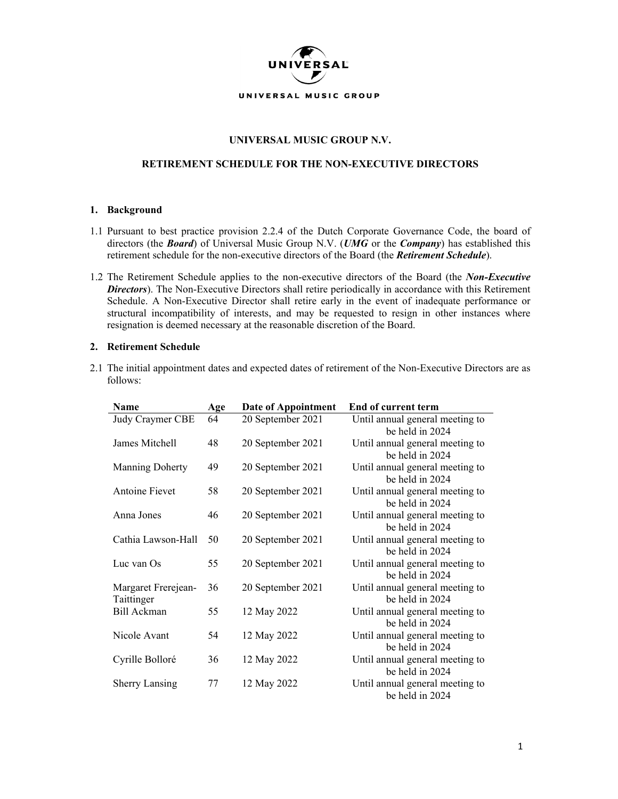

## **UNIVERSAL MUSIC GROUP N.V.**

## **RETIREMENT SCHEDULE FOR THE NON-EXECUTIVE DIRECTORS**

## **1. Background**

- 1.1 Pursuant to best practice provision 2.2.4 of the Dutch Corporate Governance Code, the board of directors (the *Board*) of Universal Music Group N.V. (*UMG* or the *Company*) has established this retirement schedule for the non-executive directors of the Board (the *Retirement Schedule*).
- 1.2 The Retirement Schedule applies to the non-executive directors of the Board (the *Non-Executive Directors*). The Non-Executive Directors shall retire periodically in accordance with this Retirement Schedule. A Non-Executive Director shall retire early in the event of inadequate performance or structural incompatibility of interests, and may be requested to resign in other instances where resignation is deemed necessary at the reasonable discretion of the Board.

## **2. Retirement Schedule**

2.1 The initial appointment dates and expected dates of retirement of the Non-Executive Directors are as follows:

| <b>Name</b>                       | Age | Date of Appointment | <b>End of current term</b>                         |
|-----------------------------------|-----|---------------------|----------------------------------------------------|
| Judy Craymer CBE                  | 64  | 20 September 2021   | Until annual general meeting to<br>be held in 2024 |
| James Mitchell                    | 48  | 20 September 2021   | Until annual general meeting to<br>be held in 2024 |
| <b>Manning Doherty</b>            | 49  | 20 September 2021   | Until annual general meeting to<br>be held in 2024 |
| Antoine Fievet                    | 58  | 20 September 2021   | Until annual general meeting to<br>be held in 2024 |
| Anna Jones                        | 46  | 20 September 2021   | Until annual general meeting to<br>be held in 2024 |
| Cathia Lawson-Hall                | 50  | 20 September 2021   | Until annual general meeting to<br>be held in 2024 |
| Luc van Os                        | 55  | 20 September 2021   | Until annual general meeting to<br>be held in 2024 |
| Margaret Frerejean-<br>Taittinger | 36  | 20 September 2021   | Until annual general meeting to<br>be held in 2024 |
| Bill Ackman                       | 55  | 12 May 2022         | Until annual general meeting to<br>be held in 2024 |
| Nicole Avant                      | 54  | 12 May 2022         | Until annual general meeting to<br>be held in 2024 |
| Cyrille Bolloré                   | 36  | 12 May 2022         | Until annual general meeting to<br>be held in 2024 |
| <b>Sherry Lansing</b>             | 77  | 12 May 2022         | Until annual general meeting to<br>be held in 2024 |